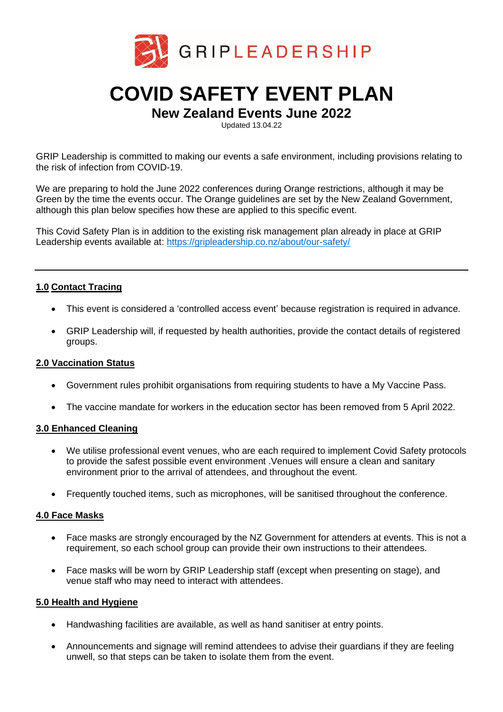

# **COVID SAFETY EVENT PLAN**

# **New Zealand Events June 2022**

Updated 13.04.22

GRIP Leadership is committed to making our events a safe environment, including provisions relating to the risk of infection from COVID-19.

We are preparing to hold the June 2022 conferences during Orange restrictions, although it may be Green by the time the events occur. The Orange guidelines are set by the New Zealand Government, although this plan below specifies how these are applied to this specific event.

This Covid Safety Plan is in addition to the existing risk management plan already in place at GRIP Leadership events available at:<https://gripleadership.co.nz/about/our-safety/>

# **1.0 Contact Tracing**

- This event is considered a 'controlled access event' because registration is required in advance.
- GRIP Leadership will, if requested by health authorities, provide the contact details of registered groups.

#### **2.0 Vaccination Status**

- Government rules prohibit organisations from requiring students to have a My Vaccine Pass.
- The vaccine mandate for workers in the education sector has been removed from 5 April 2022.

## **3.0 Enhanced Cleaning**

- We utilise professional event venues, who are each required to implement Covid Safety protocols to provide the safest possible event environment .Venues will ensure a clean and sanitary environment prior to the arrival of attendees, and throughout the event.
- Frequently touched items, such as microphones, will be sanitised throughout the conference.

#### **4.0 Face Masks**

- Face masks are strongly encouraged by the NZ Government for attenders at events. This is not a requirement, so each school group can provide their own instructions to their attendees.
- Face masks will be worn by GRIP Leadership staff (except when presenting on stage), and venue staff who may need to interact with attendees.

#### **5.0 Health and Hygiene**

- Handwashing facilities are available, as well as hand sanitiser at entry points.
- Announcements and signage will remind attendees to advise their guardians if they are feeling unwell, so that steps can be taken to isolate them from the event.